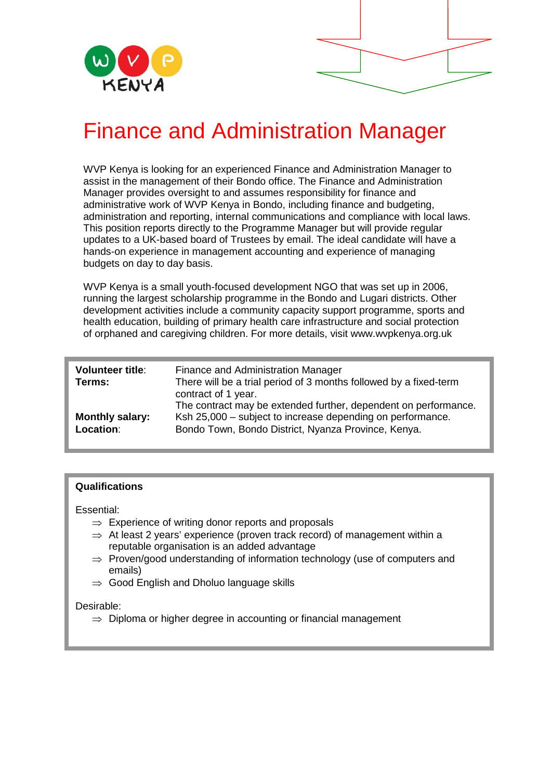

# Finance and Administration Manager

WVP Kenya is looking for an experienced Finance and Administration Manager to assist in the management of their Bondo office. The Finance and Administration Manager provides oversight to and assumes responsibility for finance and administrative work of WVP Kenya in Bondo, including finance and budgeting, administration and reporting, internal communications and compliance with local laws. This position reports directly to the Programme Manager but will provide regular updates to a UK-based board of Trustees by email. The ideal candidate will have a hands-on experience in management accounting and experience of managing budgets on day to day basis.

WVP Kenya is a small youth-focused development NGO that was set up in 2006, running the largest scholarship programme in the Bondo and Lugari districts. Other development activities include a community capacity support programme, sports and health education, building of primary health care infrastructure and social protection of orphaned and caregiving children. For more details, visit www.wvpkenya.org.uk

| <b>Volunteer title:</b>             | Finance and Administration Manager                                                                                                                                                                          |
|-------------------------------------|-------------------------------------------------------------------------------------------------------------------------------------------------------------------------------------------------------------|
| Terms:                              | There will be a trial period of 3 months followed by a fixed-term                                                                                                                                           |
| <b>Monthly salary:</b><br>Location: | contract of 1 year.<br>The contract may be extended further, dependent on performance.<br>Ksh 25,000 – subject to increase depending on performance.<br>Bondo Town, Bondo District, Nyanza Province, Kenya. |

## **Qualifications**

Essential:

- $\Rightarrow$  Experience of writing donor reports and proposals
- $\Rightarrow$  At least 2 years' experience (proven track record) of management within a reputable organisation is an added advantage
- ⇒ Proven/good understanding of information technology (use of computers and emails)
- ⇒ Good English and Dholuo language skills

#### Desirable:

 $\Rightarrow$  Diploma or higher degree in accounting or financial management